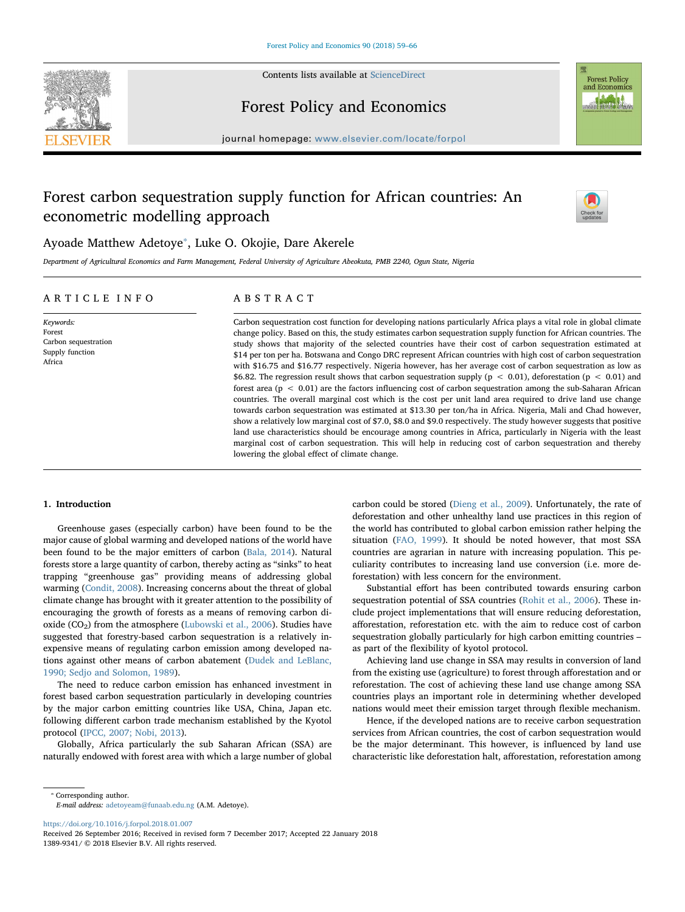

Contents lists available at [ScienceDirect](http://www.sciencedirect.com/science/journal/13899341)



## Forest Policy and Economics

journal homepage: [www.elsevier.com/locate/forpol](https://www.elsevier.com/locate/forpol)

# Forest carbon sequestration supply function for African countries: An econometric modelling approach



## Ayoade Matthew Adetoye<sup>\*</sup>, Luke O. Okojie, Dare Akerele

Department of Agricultural Economics and Farm Management, Federal University of Agriculture Abeokuta, PMB 2240, Ogun State, Nigeria

## ARTICLE INFO

Keywords: Forest Carbon sequestration Supply function Africa

### ABSTRACT

Carbon sequestration cost function for developing nations particularly Africa plays a vital role in global climate change policy. Based on this, the study estimates carbon sequestration supply function for African countries. The study shows that majority of the selected countries have their cost of carbon sequestration estimated at \$14 per ton per ha. Botswana and Congo DRC represent African countries with high cost of carbon sequestration with \$16.75 and \$16.77 respectively. Nigeria however, has her average cost of carbon sequestration as low as \$6.82. The regression result shows that carbon sequestration supply ( $p < 0.01$ ), deforestation ( $p < 0.01$ ) and forest area ( $p < 0.01$ ) are the factors influencing cost of carbon sequestration among the sub-Saharan African countries. The overall marginal cost which is the cost per unit land area required to drive land use change towards carbon sequestration was estimated at \$13.30 per ton/ha in Africa. Nigeria, Mali and Chad however, show a relatively low marginal cost of \$7.0, \$8.0 and \$9.0 respectively. The study however suggests that positive land use characteristics should be encourage among countries in Africa, particularly in Nigeria with the least marginal cost of carbon sequestration. This will help in reducing cost of carbon sequestration and thereby lowering the global effect of climate change.

#### 1. Introduction

Greenhouse gases (especially carbon) have been found to be the major cause of global warming and developed nations of the world have been found to be the major emitters of carbon (Bala, 2014). Natural forests store a large quantity of carbon, thereby acting as "sinks" to heat trapping "greenhouse gas" providing means of addressing global warming (Condit, 2008). Increasing concerns about the threat of global climate change has brought with it greater attention to the possibility of encouraging the growth of forests as a means of removing carbon dioxide ( $CO<sub>2</sub>$ ) from the atmosphere (Lubowski et al., 2006). Studies have suggested that forestry-based carbon sequestration is a relatively inexpensive means of regulating carbon emission among developed nations against other means of carbon abatement (Dudek and LeBlanc, 1990; Sedjo and Solomon, 1989).

The need to reduce carbon emission has enhanced investment in forest based carbon sequestration particularly in developing countries by the major carbon emitting countries like USA, China, Japan etc. following different carbon trade mechanism established by the Kyotol protocol (IPCC, 2007; Nobi, 2013).

Globally, Africa particularly the sub Saharan African (SSA) are naturally endowed with forest area with which a large number of global

carbon could be stored (Dieng et al., 2009). Unfortunately, the rate of deforestation and other unhealthy land use practices in this region of the world has contributed to global carbon emission rather helping the situation (FAO, 1999). It should be noted however, that most SSA countries are agrarian in nature with increasing population. This peculiarity contributes to increasing land use conversion (i.e. more deforestation) with less concern for the environment.

Substantial effort has been contributed towards ensuring carbon sequestration potential of SSA countries (Rohit et al., 2006). These include project implementations that will ensure reducing deforestation, afforestation, reforestation etc. with the aim to reduce cost of carbon sequestration globally particularly for high carbon emitting countries – as part of the flexibility of kyotol protocol.

Achieving land use change in SSA may results in conversion of land from the existing use (agriculture) to forest through afforestation and or reforestation. The cost of achieving these land use change among SSA countries plays an important role in determining whether developed nations would meet their emission target through flexible mechanism.

Hence, if the developed nations are to receive carbon sequestration services from African countries, the cost of carbon sequestration would be the major determinant. This however, is influenced by land use characteristic like deforestation halt, afforestation, reforestation among

E-mail address: [adetoyeam@funaab.edu.ng](mailto:adetoyeam@funaab.edu.ng) (A.M. Adetoye).

<https://doi.org/10.1016/j.forpol.2018.01.007>

<sup>⁎</sup> Corresponding author.

Received 26 September 2016; Received in revised form 7 December 2017; Accepted 22 January 2018 1389-9341/ © 2018 Elsevier B.V. All rights reserved.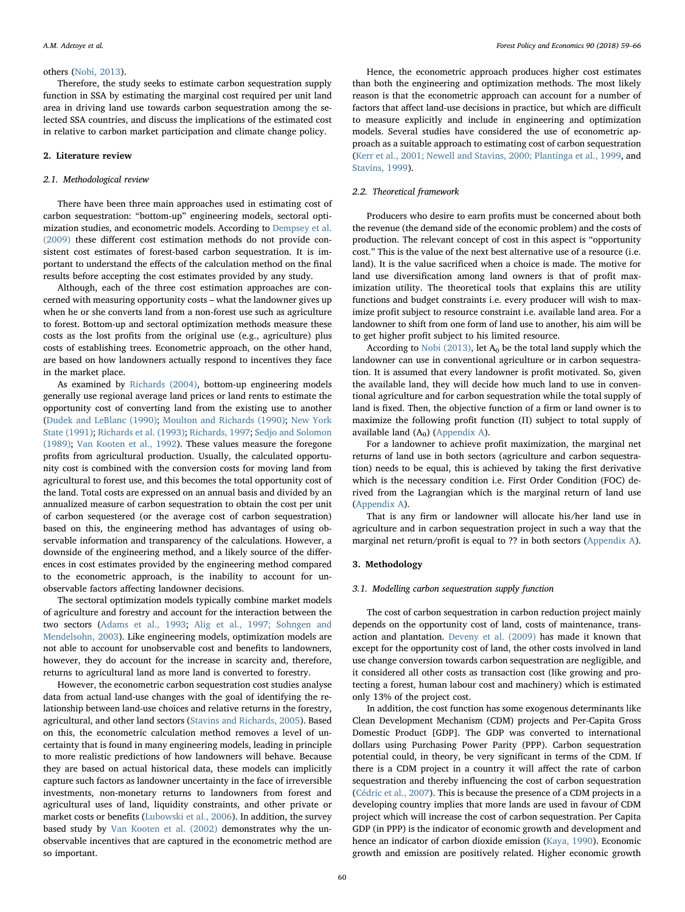#### others (Nobi, 2013).

Therefore, the study seeks to estimate carbon sequestration supply function in SSA by estimating the marginal cost required per unit land area in driving land use towards carbon sequestration among the selected SSA countries, and discuss the implications of the estimated cost in relative to carbon market participation and climate change policy.

#### 2. Literature review

#### 2.1. Methodological review

There have been three main approaches used in estimating cost of carbon sequestration: "bottom-up" engineering models, sectoral optimization studies, and econometric models. According to Dempsey et al. (2009) these different cost estimation methods do not provide consistent cost estimates of forest-based carbon sequestration. It is important to understand the effects of the calculation method on the final results before accepting the cost estimates provided by any study.

Although, each of the three cost estimation approaches are concerned with measuring opportunity costs – what the landowner gives up when he or she converts land from a non-forest use such as agriculture to forest. Bottom-up and sectoral optimization methods measure these costs as the lost profits from the original use (e.g., agriculture) plus costs of establishing trees. Econometric approach, on the other hand, are based on how landowners actually respond to incentives they face in the market place.

As examined by Richards (2004), bottom-up engineering models generally use regional average land prices or land rents to estimate the opportunity cost of converting land from the existing use to another (Dudek and LeBlanc (1990); Moulton and Richards (1990); New York State (1991); Richards et al. (1993); Richards, 1997; Sedjo and Solomon (1989); Van Kooten et al., 1992). These values measure the foregone profits from agricultural production. Usually, the calculated opportunity cost is combined with the conversion costs for moving land from agricultural to forest use, and this becomes the total opportunity cost of the land. Total costs are expressed on an annual basis and divided by an annualized measure of carbon sequestration to obtain the cost per unit of carbon sequestered (or the average cost of carbon sequestration) based on this, the engineering method has advantages of using observable information and transparency of the calculations. However, a downside of the engineering method, and a likely source of the differences in cost estimates provided by the engineering method compared to the econometric approach, is the inability to account for unobservable factors affecting landowner decisions.

The sectoral optimization models typically combine market models of agriculture and forestry and account for the interaction between the two sectors (Adams et al., 1993; Alig et al., 1997; Sohngen and Mendelsohn, 2003). Like engineering models, optimization models are not able to account for unobservable cost and benefits to landowners, however, they do account for the increase in scarcity and, therefore, returns to agricultural land as more land is converted to forestry.

However, the econometric carbon sequestration cost studies analyse data from actual land-use changes with the goal of identifying the relationship between land-use choices and relative returns in the forestry, agricultural, and other land sectors (Stavins and Richards, 2005). Based on this, the econometric calculation method removes a level of uncertainty that is found in many engineering models, leading in principle to more realistic predictions of how landowners will behave. Because they are based on actual historical data, these models can implicitly capture such factors as landowner uncertainty in the face of irreversible investments, non-monetary returns to landowners from forest and agricultural uses of land, liquidity constraints, and other private or market costs or benefits (Lubowski et al., 2006). In addition, the survey based study by Van Kooten et al. (2002) demonstrates why the unobservable incentives that are captured in the econometric method are so important.

Hence, the econometric approach produces higher cost estimates than both the engineering and optimization methods. The most likely reason is that the econometric approach can account for a number of factors that affect land-use decisions in practice, but which are difficult to measure explicitly and include in engineering and optimization models. Several studies have considered the use of econometric approach as a suitable approach to estimating cost of carbon sequestration (Kerr et al., 2001; Newell and Stavins, 2000; Plantinga et al., 1999, and Stavins, 1999).

#### 2.2. Theoretical framework

Producers who desire to earn profits must be concerned about both the revenue (the demand side of the economic problem) and the costs of production. The relevant concept of cost in this aspect is "opportunity cost." This is the value of the next best alternative use of a resource (i.e. land). It is the value sacrificed when a choice is made. The motive for land use diversification among land owners is that of profit maximization utility. The theoretical tools that explains this are utility functions and budget constraints i.e. every producer will wish to maximize profit subject to resource constraint i.e. available land area. For a landowner to shift from one form of land use to another, his aim will be to get higher profit subject to his limited resource.

According to Nobi (2013), let  $A_0$  be the total land supply which the landowner can use in conventional agriculture or in carbon sequestration. It is assumed that every landowner is profit motivated. So, given the available land, they will decide how much land to use in conventional agriculture and for carbon sequestration while the total supply of land is fixed. Then, the objective function of a firm or land owner is to maximize the following profit function (Π) subject to total supply of available land  $(A<sub>0</sub>)$  (Appendix A).

For a landowner to achieve profit maximization, the marginal net returns of land use in both sectors (agriculture and carbon sequestration) needs to be equal, this is achieved by taking the first derivative which is the necessary condition i.e. First Order Condition (FOC) derived from the Lagrangian which is the marginal return of land use (Appendix A).

That is any firm or landowner will allocate his/her land use in agriculture and in carbon sequestration project in such a way that the marginal net return/profit is equal to ?? in both sectors (Appendix A).

#### 3. Methodology

#### 3.1. Modelling carbon sequestration supply function

The cost of carbon sequestration in carbon reduction project mainly depends on the opportunity cost of land, costs of maintenance, transaction and plantation. Deveny et al. (2009) has made it known that except for the opportunity cost of land, the other costs involved in land use change conversion towards carbon sequestration are negligible, and it considered all other costs as transaction cost (like growing and protecting a forest, human labour cost and machinery) which is estimated only 13% of the project cost.

In addition, the cost function has some exogenous determinants like Clean Development Mechanism (CDM) projects and Per-Capita Gross Domestic Product [GDP]. The GDP was converted to international dollars using Purchasing Power Parity (PPP). Carbon sequestration potential could, in theory, be very significant in terms of the CDM. If there is a CDM project in a country it will affect the rate of carbon sequestration and thereby influencing the cost of carbon sequestration (Cédric et al., 2007). This is because the presence of a CDM projects in a developing country implies that more lands are used in favour of CDM project which will increase the cost of carbon sequestration. Per Capita GDP (in PPP) is the indicator of economic growth and development and hence an indicator of carbon dioxide emission (Kaya, 1990). Economic growth and emission are positively related. Higher economic growth